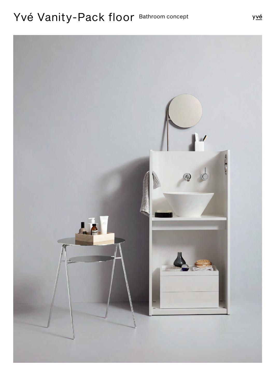## Yvé Vanity-Pack floor Bathroom concept

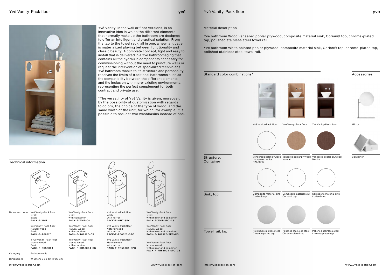

info@yvecollection.com www.yvecollection.com

Yvé Vanity, in the wall or floor versions, is an innovative idea in which the different elements that normally make up the bathroom are designed to offer an intelligent and practical solution. From the tap to the towel rack, all in one, a new language is materialized playing between functionality and classic beauty. A complete concept, light and easy to install that is delivered in a Yvé bathroomaging that contains all the hydraulic components necessary for commissioning without the need to puncture walls or request the intervention of specialized technicians. Yvé bathroom thanks to its structure and personality, resolves the limits of traditional bathrooms such as the compatibility between the different elements and the inclusion within pre-existing environments, representing the perfect complement for both contract and private use.

\*The versatility of Yvé Vanity is given, moreover, by the possibility of customization with regards to colors, the choice of the type of wood, and the same width of the unit, for which, for example, it is possible to request two washbasins instead of one. Yvé Vanity-Pack floor

<u>yvé</u>



Structure, Container

Sink, top

Towel rail, tap

Yvé bathroom Wood veneered poplar plywood, composite material sink, Corian® top, chrome-plated tap, polished stainless steel towel rail.

Yvé bathroom White painted poplar plywood, composite material sink, Corian® top, chrome-plated tap, polished stainless steel towel rail.

Material description

PACK-F-WHT Yvé Vanity-Pack floor Natural wood Basic PACK-F-R06320

YYvé Vanity-Pack floor Mocha wood **Basic** PACK-F-RR58004

Yvé Vanity-Pack floor white with container PACK-F-WHT-CS

Yvé Vanity-Pack floor Natural wood with container PACK-F-R06320-CS

Yvé Vanity-Pack floor Mocha wood with container PACK-F-RR58004-CS



Yvé Vanity-Pack floor white with mirror PACK-F-WHT-SPC

Yvé Vanity-Pack floor white **Basic** Name and code

> Yvé Vanity-Pack floor Natural wood with mirror PACK-F-R06320-SPC

Bathroom unit Category

W 60 cm D 50 cm H 100 cm Dimensions 120



Yvé Vanity-Pack floor Mocha wood with mirror PACK-F-RR58004-SPC Yvé Vanity-Pack floor white with mirror and coinainer PACK-F-WHT-SPC-CS

Yvé Vanity-Pack floor Natural wood with mirror and coinainer PACK-F-R06320-SPC-CS

Yvé Vanity-Pack floor Mocha wood with mirror and coinainer PACK-F-RR58004-SPC-CS

Technical information